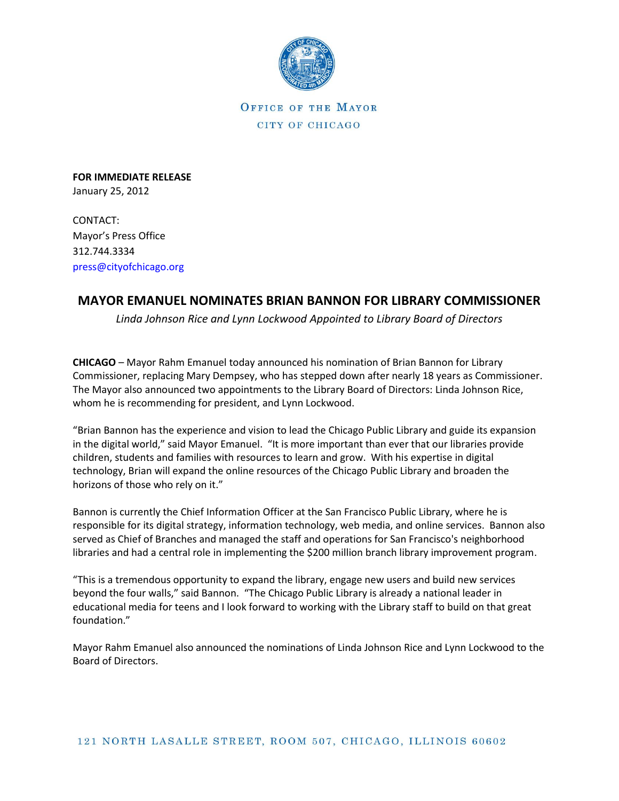

**OFFICE OF THE MAYOR** CITY OF CHICAGO

**FOR IMMEDIATE RELEASE** January 25, 2012

CONTACT: Mayor's Press Office 312.744.3334 [press@cityofchicago.org](mailto:press@cityofchicago.org)

## **MAYOR EMANUEL NOMINATES BRIAN BANNON FOR LIBRARY COMMISSIONER**

*Linda Johnson Rice and Lynn Lockwood Appointed to Library Board of Directors*

**CHICAGO** – Mayor Rahm Emanuel today announced his nomination of Brian Bannon for Library Commissioner, replacing Mary Dempsey, who has stepped down after nearly 18 years as Commissioner. The Mayor also announced two appointments to the Library Board of Directors: Linda Johnson Rice, whom he is recommending for president, and Lynn Lockwood.

"Brian Bannon has the experience and vision to lead the Chicago Public Library and guide its expansion in the digital world," said Mayor Emanuel. "It is more important than ever that our libraries provide children, students and families with resources to learn and grow. With his expertise in digital technology, Brian will expand the online resources of the Chicago Public Library and broaden the horizons of those who rely on it."

Bannon is currently the Chief Information Officer at the San Francisco Public Library, where he is responsible for its digital strategy, information technology, web media, and online services. Bannon also served as Chief of Branches and managed the staff and operations for San Francisco's neighborhood libraries and had a central role in implementing the \$200 million branch library improvement program.

"This is a tremendous opportunity to expand the library, engage new users and build new services beyond the four walls," said Bannon. "The Chicago Public Library is already a national leader in educational media for teens and I look forward to working with the Library staff to build on that great foundation."

Mayor Rahm Emanuel also announced the nominations of Linda Johnson Rice and Lynn Lockwood to the Board of Directors.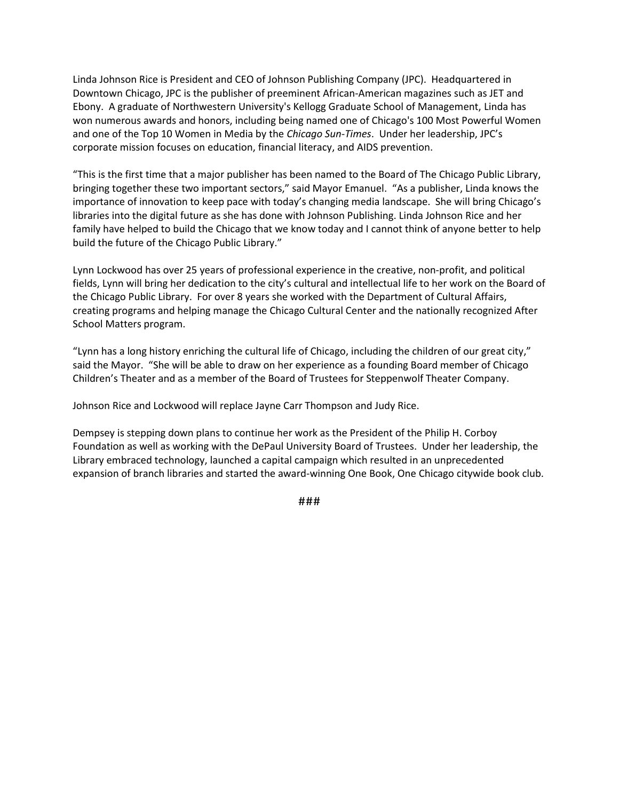Linda Johnson Rice is President and CEO of Johnson Publishing Company (JPC). Headquartered in Downtown Chicago, JPC is the publisher of preeminent African-American magazines such as JET and Ebony. A graduate of Northwestern University's Kellogg Graduate School of Management, Linda has won numerous awards and honors, including being named one of Chicago's 100 Most Powerful Women and one of the Top 10 Women in Media by the *Chicago Sun-Times*. Under her leadership, JPC's corporate mission focuses on education, financial literacy, and AIDS prevention.

"This is the first time that a major publisher has been named to the Board of The Chicago Public Library, bringing together these two important sectors," said Mayor Emanuel. "As a publisher, Linda knows the importance of innovation to keep pace with today's changing media landscape. She will bring Chicago's libraries into the digital future as she has done with Johnson Publishing. Linda Johnson Rice and her family have helped to build the Chicago that we know today and I cannot think of anyone better to help build the future of the Chicago Public Library."

Lynn Lockwood has over 25 years of professional experience in the creative, non-profit, and political fields, Lynn will bring her dedication to the city's cultural and intellectual life to her work on the Board of the Chicago Public Library. For over 8 years she worked with the Department of Cultural Affairs, creating programs and helping manage the Chicago Cultural Center and the nationally recognized After School Matters program.

"Lynn has a long history enriching the cultural life of Chicago, including the children of our great city," said the Mayor. "She will be able to draw on her experience as a founding Board member of Chicago Children's Theater and as a member of the Board of Trustees for Steppenwolf Theater Company.

Johnson Rice and Lockwood will replace Jayne Carr Thompson and Judy Rice.

Dempsey is stepping down plans to continue her work as the President of the Philip H. Corboy Foundation as well as working with the DePaul University Board of Trustees. Under her leadership, the Library embraced technology, launched a capital campaign which resulted in an unprecedented expansion of branch libraries and started the award-winning One Book, One Chicago citywide book club.

**###**